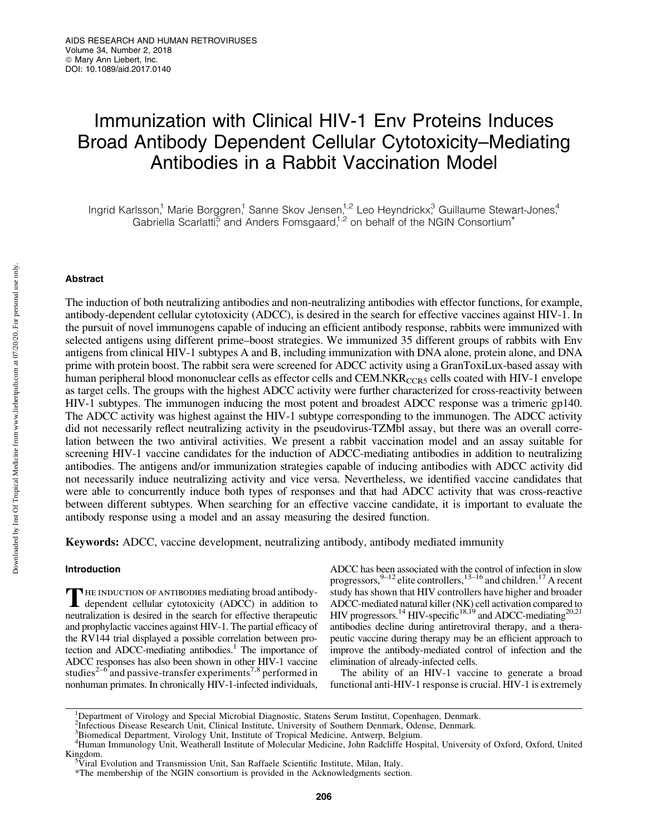# Immunization with Clinical HIV-1 Env Proteins Induces Broad Antibody Dependent Cellular Cytotoxicity–Mediating Antibodies in a Rabbit Vaccination Model

Ingrid Karlsson,<sup>1</sup> Marie Borggren,<sup>1</sup> Sanne Skov Jensen,<sup>1,2</sup> Leo Heyndrickx,<sup>3</sup> Guillaume Stewart-Jones,<sup>4</sup> Gabriella Scarlatti $\frac{5}{5}$  and Anders Fomsgaard,<sup>1,2</sup> on behalf of the NGIN Consortium<sup>\*</sup>

# Abstract

The induction of both neutralizing antibodies and non-neutralizing antibodies with effector functions, for example, antibody-dependent cellular cytotoxicity (ADCC), is desired in the search for effective vaccines against HIV-1. In the pursuit of novel immunogens capable of inducing an efficient antibody response, rabbits were immunized with selected antigens using different prime–boost strategies. We immunized 35 different groups of rabbits with Env antigens from clinical HIV-1 subtypes A and B, including immunization with DNA alone, protein alone, and DNA prime with protein boost. The rabbit sera were screened for ADCC activity using a GranToxiLux-based assay with human peripheral blood mononuclear cells as effector cells and CEM.NKR $_{CCR5}$  cells coated with HIV-1 envelope as target cells. The groups with the highest ADCC activity were further characterized for cross-reactivity between HIV-1 subtypes. The immunogen inducing the most potent and broadest ADCC response was a trimeric gp140. The ADCC activity was highest against the HIV-1 subtype corresponding to the immunogen. The ADCC activity did not necessarily reflect neutralizing activity in the pseudovirus-TZMbl assay, but there was an overall correlation between the two antiviral activities. We present a rabbit vaccination model and an assay suitable for screening HIV-1 vaccine candidates for the induction of ADCC-mediating antibodies in addition to neutralizing antibodies. The antigens and/or immunization strategies capable of inducing antibodies with ADCC activity did not necessarily induce neutralizing activity and vice versa. Nevertheless, we identified vaccine candidates that were able to concurrently induce both types of responses and that had ADCC activity that was cross-reactive between different subtypes. When searching for an effective vaccine candidate, it is important to evaluate the antibody response using a model and an assay measuring the desired function.

Keywords: ADCC, vaccine development, neutralizing antibody, antibody mediated immunity

# **Introduction**

THE INDUCTION OF ANTIBODIES mediating broad antibody-<br>dependent cellular cytotoxicity (ADCC) in addition to neutralization is desired in the search for effective therapeutic and prophylactic vaccines against HIV-1. The partial efficacy of the RV144 trial displayed a possible correlation between protection and ADCC-mediating antibodies.<sup>1</sup> The importance of ADCC responses has also been shown in other HIV-1 vaccine studies<sup>2–6</sup> and passive-transfer experiments<sup>7,8</sup> performed in nonhuman primates. In chronically HIV-1-infected individuals,

ADCC has been associated with the control of infection in slow progressors, <sup>9–12</sup> elite controllers, <sup>13–16</sup> and children.<sup>17</sup> A recent study has shown that HIV controllers have higher and broader ADCC-mediated natural killer (NK) cell activation compared to HIV progressors.<sup>14</sup> HIV-specific<sup>18,19</sup> and ADCC-mediating<sup>20,21</sup> antibodies decline during antiretroviral therapy, and a therapeutic vaccine during therapy may be an efficient approach to improve the antibody-mediated control of infection and the elimination of already-infected cells.

The ability of an HIV-1 vaccine to generate a broad functional anti-HIV-1 response is crucial. HIV-1 is extremely

<sup>&</sup>lt;sup>1</sup>Department of Virology and Special Microbial Diagnostic, Statens Serum Institut, Copenhagen, Denmark.

<sup>2</sup> Infectious Disease Research Unit, Clinical Institute, University of Southern Denmark, Odense, Denmark.

<sup>3</sup> Biomedical Department, Virology Unit, Institute of Tropical Medicine, Antwerp, Belgium.

<sup>4</sup> Human Immunology Unit, Weatherall Institute of Molecular Medicine, John Radcliffe Hospital, University of Oxford, Oxford, United Kingdom.

Viral Evolution and Transmission Unit, San Raffaele Scientific Institute, Milan, Italy.

<sup>\*</sup>The membership of the NGIN consortium is provided in the Acknowledgments section.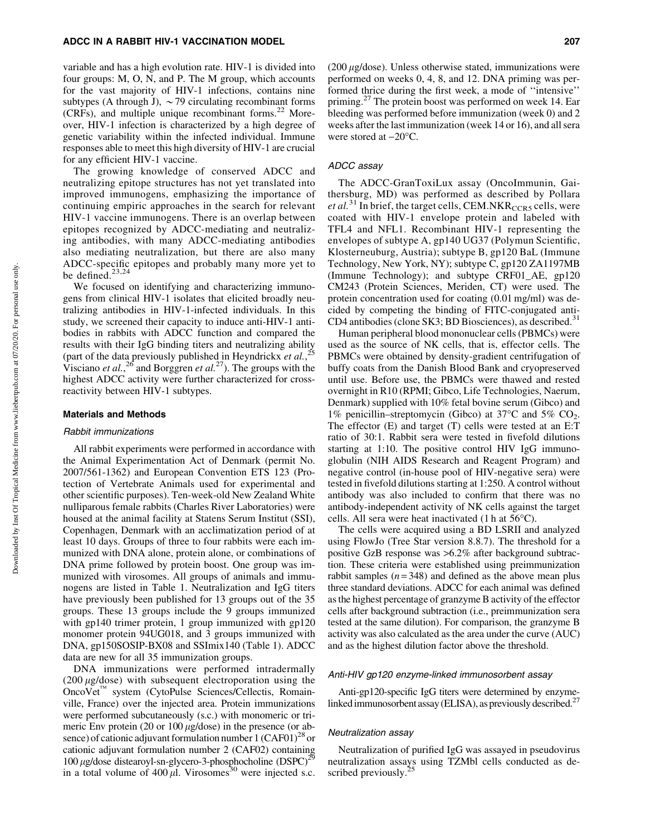variable and has a high evolution rate. HIV-1 is divided into four groups: M, O, N, and P. The M group, which accounts for the vast majority of HIV-1 infections, contains nine subtypes (A through J),  $\sim$  79 circulating recombinant forms  $(CRFs)$ , and multiple unique recombinant forms.<sup>22</sup> Moreover, HIV-1 infection is characterized by a high degree of genetic variability within the infected individual. Immune responses able to meet this high diversity of HIV-1 are crucial for any efficient HIV-1 vaccine.

The growing knowledge of conserved ADCC and neutralizing epitope structures has not yet translated into improved immunogens, emphasizing the importance of continuing empiric approaches in the search for relevant HIV-1 vaccine immunogens. There is an overlap between epitopes recognized by ADCC-mediating and neutralizing antibodies, with many ADCC-mediating antibodies also mediating neutralization, but there are also many ADCC-specific epitopes and probably many more yet to be defined.<sup>23,24</sup>

We focused on identifying and characterizing immunogens from clinical HIV-1 isolates that elicited broadly neutralizing antibodies in HIV-1-infected individuals. In this study, we screened their capacity to induce anti-HIV-1 antibodies in rabbits with ADCC function and compared the results with their IgG binding titers and neutralizing ability (part of the data previously published in Heyndrickx *et al.*, 25 Visciano *et al.*<sup>26</sup> and Borggren *et al.*<sup>27</sup>). The groups with the highest ADCC activity were further characterized for crossreactivity between HIV-1 subtypes.

### Materials and Methods

#### Rabbit immunizations

All rabbit experiments were performed in accordance with the Animal Experimentation Act of Denmark (permit No. 2007/561-1362) and European Convention ETS 123 (Protection of Vertebrate Animals used for experimental and other scientific purposes). Ten-week-old New Zealand White nulliparous female rabbits (Charles River Laboratories) were housed at the animal facility at Statens Serum Institut (SSI), Copenhagen, Denmark with an acclimatization period of at least 10 days. Groups of three to four rabbits were each immunized with DNA alone, protein alone, or combinations of DNA prime followed by protein boost. One group was immunized with virosomes. All groups of animals and immunogens are listed in Table 1. Neutralization and IgG titers have previously been published for 13 groups out of the 35 groups. These 13 groups include the 9 groups immunized with gp140 trimer protein, 1 group immunized with gp120 monomer protein 94UG018, and 3 groups immunized with DNA, gp150SOSIP-BX08 and SSImix140 (Table 1). ADCC data are new for all 35 immunization groups.

DNA immunizations were performed intradermally (200  $\mu$ g/dose) with subsequent electroporation using the OncoVet<sup>™</sup> system (CytoPulse Sciences/Cellectis, Romainville, France) over the injected area. Protein immunizations were performed subcutaneously (s.c.) with monomeric or trimeric Env protein (20 or  $100 \mu g/dose$ ) in the presence (or absence) of cationic adjuvant formulation number  $1 (CAF01)^{28}$  or cationic adjuvant formulation number 2 (CAF02) containing  $100 \mu$ g/dose distearoyl-sn-glycero-3-phosphocholine (DSPC)<sup>29</sup> in a total volume of  $400 \mu l$ . Virosomes<sup>30</sup> were injected s.c. ( $200 \mu$ g/dose). Unless otherwise stated, immunizations were performed on weeks 0, 4, 8, and 12. DNA priming was performed thrice during the first week, a mode of ''intensive'' priming.<sup>27</sup> The protein boost was performed on week 14. Ear bleeding was performed before immunization (week 0) and 2 weeks after the last immunization (week 14 or 16), and all sera were stored at  $-20^{\circ}$ C.

## ADCC assay

The ADCC-GranToxiLux assay (OncoImmunin, Gaithersburg, MD) was performed as described by Pollara *et al.*<sup>31</sup> In brief, the target cells, CEM.NKR<sub>CCR5</sub> cells, were coated with HIV-1 envelope protein and labeled with TFL4 and NFL1. Recombinant HIV-1 representing the envelopes of subtype A, gp140 UG37 (Polymun Scientific, Klosterneuburg, Austria); subtype B, gp120 BaL (Immune Technology, New York, NY); subtype C, gp120 ZA1197MB (Immune Technology); and subtype CRF01\_AE, gp120 CM243 (Protein Sciences, Meriden, CT) were used. The protein concentration used for coating (0.01 mg/ml) was decided by competing the binding of FITC-conjugated anti-CD4 antibodies (clone SK3; BD Biosciences), as described. $31$ 

Human peripheral blood mononuclear cells (PBMCs) were used as the source of NK cells, that is, effector cells. The PBMCs were obtained by density-gradient centrifugation of buffy coats from the Danish Blood Bank and cryopreserved until use. Before use, the PBMCs were thawed and rested overnight in R10 (RPMI; Gibco, Life Technologies, Naerum, Denmark) supplied with 10% fetal bovine serum (Gibco) and 1% penicillin–streptomycin (Gibco) at 37 $\degree$ C and 5% CO<sub>2</sub>. The effector (E) and target (T) cells were tested at an E:T ratio of 30:1. Rabbit sera were tested in fivefold dilutions starting at 1:10. The positive control HIV IgG immunoglobulin (NIH AIDS Research and Reagent Program) and negative control (in-house pool of HIV-negative sera) were tested in fivefold dilutions starting at 1:250. A control without antibody was also included to confirm that there was no antibody-independent activity of NK cells against the target cells. All sera were heat inactivated  $(1 h at 56^{\circ}C)$ .

The cells were acquired using a BD LSRII and analyzed using FlowJo (Tree Star version 8.8.7). The threshold for a positive GzB response was >6.2% after background subtraction. These criteria were established using preimmunization rabbit samples  $(n=348)$  and defined as the above mean plus three standard deviations. ADCC for each animal was defined as the highest percentage of granzyme B activity of the effector cells after background subtraction (i.e., preimmunization sera tested at the same dilution). For comparison, the granzyme B activity was also calculated as the area under the curve (AUC) and as the highest dilution factor above the threshold.

## Anti-HIV gp120 enzyme-linked immunosorbent assay

Anti-gp120-specific IgG titers were determined by enzymelinked immunosorbent assay (ELISA), as previously described.<sup>27</sup>

## Neutralization assay

Neutralization of purified IgG was assayed in pseudovirus neutralization assays using TZMbl cells conducted as described previously.<sup>25</sup>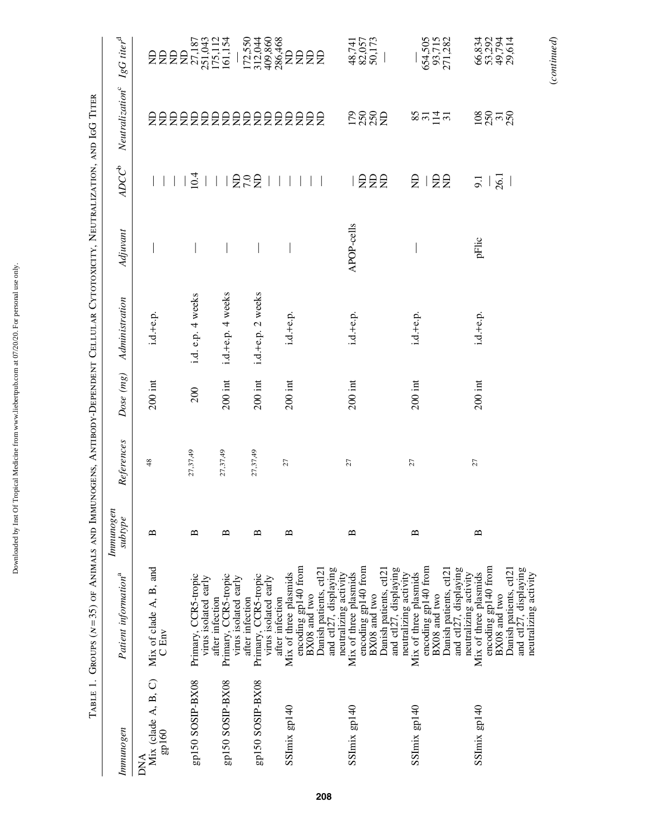|                                               | TABLE 1. GROUPS (N=35) OF ANIMALS AND IMMUNOGENS, ANTIBODY-DEPENDENT CELLULAR CYTOTOXICITY, NEUTRALIZATION, AND IGG TITER                                         |                          |            |           |                   |            |                                        |                                                      |                                                       |
|-----------------------------------------------|-------------------------------------------------------------------------------------------------------------------------------------------------------------------|--------------------------|------------|-----------|-------------------|------------|----------------------------------------|------------------------------------------------------|-------------------------------------------------------|
| Immunogen                                     | Patient information <sup>a</sup>                                                                                                                                  | Immunoger<br>subtype     | References | Dose (mg) | Administration    | Adjuvant   | $ADC^b$                                | Neutralization <sup>c</sup> $IgG$ titer <sup>d</sup> |                                                       |
| Mix (clade A, B, C)<br>$g$ p160<br><b>DNA</b> | Mix of clade $A$ , $B$ , and $C$ Env                                                                                                                              | $\mathbf{\underline{m}}$ | 48         | $200$ int | $i.d.+e.p.$       |            |                                        |                                                      |                                                       |
| gp150 SOSIP-BX08                              | Primary, CCR5-tropic<br>virus isolated early                                                                                                                      | $\mathbf{a}$             | 27,37,49   | 200       | i.d. e.p. 4 weeks |            | 10.4                                   |                                                      | <b>全国的 2015年11月11日</b><br>全国的 25,187<br>115,111       |
| gp150 SOSIP-BX08                              | Primary, CCR5-tropic<br>virus isolated early<br>after infection                                                                                                   | $\mathbf{a}$             | 27,37,49   | $200$ int | i.d.+e.p. 4 weeks |            |                                        |                                                      |                                                       |
| gp150 SOSIP-BX08                              | Primary, CCR5-tropic<br>virus isolated early<br>after infection                                                                                                   | $\mathbf{\Xi}$           | 27,37,49   | $200$ int | i.d.+e.p. 2 weeks |            | <b>ASS</b><br>$\overline{\phantom{a}}$ |                                                      |                                                       |
| SSImix gp140                                  | encoding gp140 from<br>Danish patients, ctl21<br>Mix of three plasmids<br>BX08 and two<br>after infection                                                         | ≏                        | 27         | $200$ int | i.d.+e.p.         |            |                                        | 2222222222222222                                     | 17.550<br>312,09.366<br>300 300 20 20 21<br>17.360 30 |
| SSImix gp140                                  | encoding gp140 from<br>and ctl27, displaying<br>Danish patients, ctl21<br>neutralizing activity<br>Mix of three plasmids<br>BX08 and two                          | $\mathbf{\Omega}$        | $27$       | $200$ int | i.d.+e.p.         | APOP-cells | I 융운윤                                  | <b>E</b> 225                                         | 48,741<br>82,057<br>50,173                            |
| SSImix gp140                                  | encoding gp140 from<br>and ctl27, displaying<br>and ctl27, displaying<br>Danish patients, ctl21<br>Mix of three plasmids<br>neutralizing activity<br>BX08 and two | $\mathbf{u}$             | 27         | $200$ int | $i.d.+e.p.$       |            | $E^2$<br>£                             | $8\overline{a}$ $\overline{a}$ $\overline{a}$        | 654,505<br>93,715<br>271,282                          |
| SSImix gp140                                  | encoding gp140 from<br>Danish patients, ctl21<br>and ctl27, displaying<br>Mix of three plasmids<br>neutralizing activity<br>neutralizing activity<br>BX08 and two | $\mathbf{a}$             | 27         | $200$ int | i.d.+e.p.         | pFlic      | 26.1<br>$\overline{5}$                 | $\frac{8}{2}$ $\frac{8}{3}$ $\frac{7}{3}$            | 66,834<br>53,292<br>49,794<br>29,614                  |

(*continued*)

 $\label{eq:constrained} (continued)$ 

ANTIRODY-DEPENDENT CELLII AP CY

Downloaded by Inst Of Tropical Medicine from www.liebertpub.com at 07/20/20. For personal use only.

Downloaded by Inst Of Tropical Medicine from www.liebertpub.com at 07/20/20. For personal use only.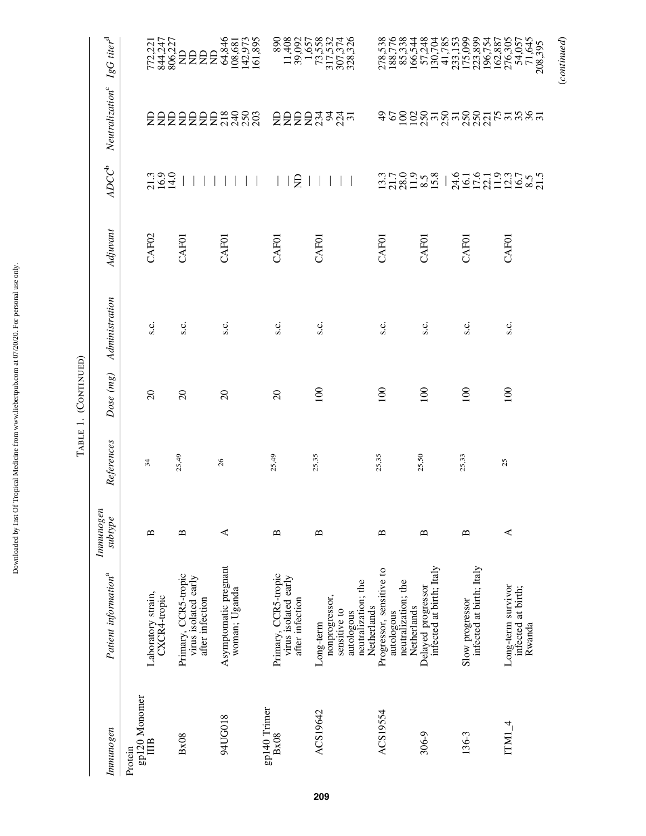|                                  |                                                                                  |                                   |            | TABLE 1. (CONTINUED) |                |                   |                                                |                                                      |                                                                                                                                                      |
|----------------------------------|----------------------------------------------------------------------------------|-----------------------------------|------------|----------------------|----------------|-------------------|------------------------------------------------|------------------------------------------------------|------------------------------------------------------------------------------------------------------------------------------------------------------|
| Immunogen                        | Patient information <sup>a</sup>                                                 | Immunogen<br>subtype              | References | Dose (mg)            | Administration | Adjuvant          | $ADC^b$                                        | Neutralization <sup>c</sup> $IgG$ titer <sup>d</sup> |                                                                                                                                                      |
| gp120 Monomer<br>IIIB<br>Protein | Laboratory strain,<br>CXCR4-tropic                                               | $\mathbf{\Omega}$                 | 34         | $\Omega$             | s.c.           | CAF <sub>02</sub> | 21.3<br>16.9<br>14.0                           |                                                      | 772,221<br>844,247<br>806,227                                                                                                                        |
| Bx08                             | Primary, CCR5-tropic<br>virus isolated early<br>after infection                  | $\mathbf{a}$                      | 25,49      | $\Omega$             | s.c.           | CAFOI             |                                                |                                                      |                                                                                                                                                      |
| 94UG018                          | Asymptomatic pregnant<br>woman; Uganda                                           | ⋖                                 | 26         | $\Omega$             | s.c.           | <b>CAF01</b>      |                                                | 2222222####                                          |                                                                                                                                                      |
| gp140 Trimer<br>Bx08             | Primary, CCR5-tropic<br>virus isolated early<br>after infection                  | $\mathbf{a}$                      | 25,49      | $\Omega$             | s.c.           | <b>CAF01</b>      | $\Xi$                                          |                                                      | 890<br>11,408<br>39,092                                                                                                                              |
| ACS19642                         | neutralization; the<br>nonprogressor,<br>sensitive to<br>autologous<br>Long-term | ≏                                 | 25,35      | 100                  | s.c.           | CAF01             |                                                | <b>EEEE EN EN EN</b>                                 | $\begin{array}{r} 1,657 \\ 73,558 \\ 317,532 \\ 307,374 \\ 308,326 \end{array}$                                                                      |
| ACS19554                         | Progressor, sensitive to<br>neutralization; the<br>Netherlands<br>autologous     | ≏                                 | 25,35      | 100                  | s.c.           | CAFOI             |                                                |                                                      | 278,538<br>188,776<br>85,338                                                                                                                         |
| 306-9                            | infected at birth; Italy<br>Delayed progressor<br>Netherlands                    | $\mathbf{m}$                      | 25,50      | 100                  | s.c.           | <b>CAFOI</b>      | $13.7$<br>$28.9$<br>$-8.8$<br>$-8.8$<br>$-8.8$ |                                                      | 166,544<br>57,248<br>130,704                                                                                                                         |
| 136-3                            | infected at birth; Italy<br>Slow progressor                                      | $\mathbf{\underline{\mathsf{m}}}$ | 25,33      | 100                  | s.c.           | <b>CAF01</b>      |                                                | 458228727787277                                      |                                                                                                                                                      |
| $ITMI_4$                         | Long-term survivor<br>infected at birth;<br>Rwanda                               | ≺                                 | 25         | 100                  | s.c.           | CAF01             | 2416119325<br>202112458215                     | $\frac{75}{25}$                                      | $\begin{array}{r} 41.785 \\ 233.153 \\ 175,099 \\ 175,099 \\ 223,899 \\ 106,754 \\ 276,305 \\ 276,305 \\ 71,645 \\ 71,645 \\ 208,395 \\ \end{array}$ |

(*continued*)

 $\label{eq:constrained} (continued)$ 

 $T_{\text{APIE}}$  1  $\sqrt{C_{\text{O}}}$ 

Downloaded by Inst Of Tropical Medicine from www.liebertpub.com at 07/20/20. For personal use only.

Downloaded by Inst Of Tropical Medicine from www.liebertpub.com at 07/20/20. For personal use only.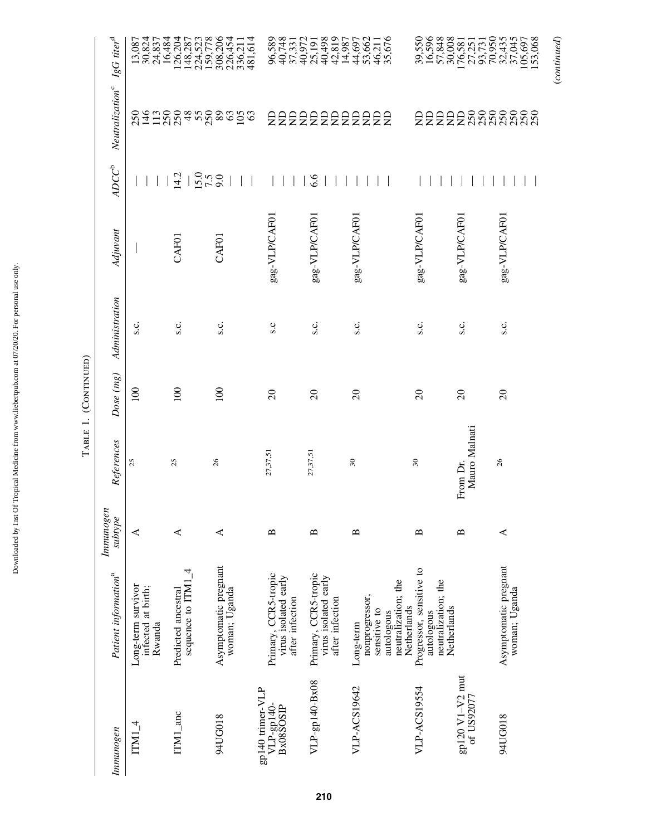| $\ddot{\phantom{a}}$<br>í<br>ľ<br>ia cia<br>ı<br>ı<br>i<br>ļ<br>į<br>J<br>١ |  |
|-----------------------------------------------------------------------------|--|
|                                                                             |  |
|                                                                             |  |
|                                                                             |  |
|                                                                             |  |
|                                                                             |  |
|                                                                             |  |
|                                                                             |  |
|                                                                             |  |
|                                                                             |  |

Table 1. (Continued)

TABLE 1. (CONTINUED)

| Neutralization <sup>c</sup> $IgG$ titer <sup>d</sup><br>$ADC^b$ | 13,087<br>30,824<br>$\frac{250}{146}$              | 24,837<br>16,484<br>126,2037<br>1287,523<br>159,778<br>4588<br>113<br>250<br>14.2 | 308,206<br>226,454<br>336,211<br>481,614<br>353<br>$\frac{15.0}{7.5}$ |                                                                 | 96,589<br>96,748,572<br>96,7572<br>96,758,987<br>96,772<br>96,74,987<br>6.6 | 44,697<br>53,662<br>46,211<br>35,676<br>22222222222                              |                                                                              | 222228888                     | 388<br>888                             |
|-----------------------------------------------------------------|----------------------------------------------------|-----------------------------------------------------------------------------------|-----------------------------------------------------------------------|-----------------------------------------------------------------|-----------------------------------------------------------------------------|----------------------------------------------------------------------------------|------------------------------------------------------------------------------|-------------------------------|----------------------------------------|
| Adjuvant                                                        |                                                    | CAF01                                                                             | CAFOI                                                                 | gag-VLP/CAF01                                                   | gag-VLP/CAF01                                                               | gag-VLP/CAF01                                                                    | gag-VLP/CAF01                                                                | gag-VLP/CAF01                 | gag-VLP/CAF01                          |
| Administration                                                  | s.c.                                               | s.c.                                                                              | s.c.                                                                  | S.C                                                             | s.c.                                                                        | s.c.                                                                             | s.c.                                                                         | s.c.                          | s.c.                                   |
| Dose (mg)                                                       | 100                                                | 100                                                                               | 100                                                                   | $\Omega$                                                        | $\Omega$                                                                    | $\Omega$                                                                         | $\Omega$                                                                     | $\Omega$                      | $\Omega$                               |
| References                                                      | 25                                                 | 25                                                                                | 26                                                                    | 27,37,51                                                        | 27,37,51                                                                    | 30                                                                               | $30\,$                                                                       | Mauro Malnati<br>From Dr.     | 26                                     |
| Immunogen<br>subtype                                            | ≺                                                  | ⋖                                                                                 | ≺                                                                     | $\mathbf{\Omega}$                                               | ≏                                                                           | ≏                                                                                | $\mathbf{p}$                                                                 | ≏                             | ≺                                      |
| Patient information <sup>a</sup>                                | Long-term survivor<br>infected at birth;<br>Rwanda | sequence to $ITMI_4$<br>Predicted ancestral                                       | Asymptomatic pregnant<br>woman; Uganda                                | Primary, CCR5-tropic<br>virus isolated early<br>after infection | Primary, CCR5-tropic<br>virus isolated early<br>after infection             | neutralization; the<br>nonprogressor,<br>sensitive to<br>autologous<br>Long-term | Progressor, sensitive to<br>neutralization; the<br>Netherlands<br>autologous | Netherlands                   | Asymptomatic pregnant<br>woman; Uganda |
| Immunogen                                                       | $ITMI_4$                                           | $ITMI_$ anc                                                                       | 94UG018                                                               | gp140 trimer-VLP<br>VLP-gp140-<br>Bx08SOSIP                     | VLP-gp140-Bx08                                                              | VLP-ACS19642                                                                     | VLP-ACS19554                                                                 | gp120 V1-V2 mut<br>of US92077 | 94UG018                                |

(*continued*)

 $\label{eq:contr 1} (continued)$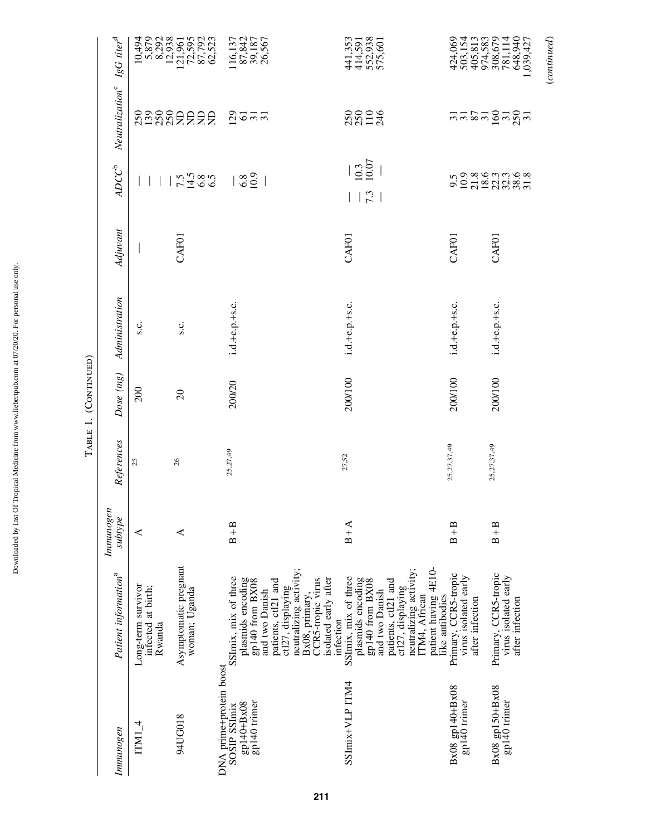| Immunogen                                                             | Patient information <sup>a</sup>                                                                                                                                                                                    | Immunogen<br>subtype | References  | Dose (mg) | Administration | Adjuvant | $ADC^b$                     | Neutralization <sup>c</sup> IgG titer <sup>d</sup> |                                                                                       |
|-----------------------------------------------------------------------|---------------------------------------------------------------------------------------------------------------------------------------------------------------------------------------------------------------------|----------------------|-------------|-----------|----------------|----------|-----------------------------|----------------------------------------------------|---------------------------------------------------------------------------------------|
| $ITMI_4$                                                              | Long-term survivor<br>infected at birth;<br>Rwanda                                                                                                                                                                  | ⋖                    | 25          | 200       | s.c.           |          |                             |                                                    |                                                                                       |
| 94UG018                                                               | Asymptomatic pregnant<br>woman; Uganda                                                                                                                                                                              | ⋖                    | 26          | $\Omega$  | s.c.           | CAF01    | $7.5$<br>$7.480$<br>$6.5$   | <b>SASSEEEE</b>                                    | 10,494<br>5,87938<br>6,29285552<br>6,57928<br>2,523<br>6,523                          |
| DNA prime+protein boost<br>gp140 trimer<br>gp140+Bx08<br>SOSIP SSImix | neutralizing activity;<br>SSImix, mix of three<br>isolated early after<br>plasmids encoding<br>CCR5-tropic virus<br>gp140 from BX08<br>patients, ctl21 and<br>ctl27, displaying<br>and two Danish<br>Bx08, primary, | $B + B$              | 25,27,49    | 200/20    | i.d.+e.p.+s.c. |          | $\frac{8}{6.8}$             | <u>ន</u> ្នាច គ គ                                  | 116,137<br>87,842<br>39,187<br>26,567                                                 |
| SSImix+VLP ITM4                                                       | patient having 4E10-<br>neutralizing activity;<br>SSImix, mix of three<br>plasmids encoding<br>gp140 from BX08<br>patients, ctl21 and<br>ctl27, displaying<br>and two Danish<br>ITM4, African<br>infection          | $B + A$              | 27,52       | 200/100   | i.d.+e.p.+s.c. | CAF01    | $\frac{10.3}{10.07}$<br> 73 | 22004                                              | 441,353<br>414,591<br>552,938<br>575,601                                              |
| Bx08 gp140+Bx08<br>gp140 trimer                                       | Primary, CCR5-tropic<br>virus isolated early<br>like antibodies<br>after infection                                                                                                                                  | $B + B$              | 25,27,37,49 | 200/100   | i.d.+e.p.+s.c. | CAF01    | 9.5                         | $\overline{5}$                                     |                                                                                       |
| Bx08 gp150+Bx08<br>gp140 trimer                                       | Primary, CCR5-tropic<br>virus isolated early<br>after infection                                                                                                                                                     | $B + B$              | 25,27,37,49 | 200/100   | i.d.+e.p.+s.c. | CAF01    | 93693698<br>2728383         | នគន្ធគន្លគ                                         | 424,069<br>503,154<br>505,813<br>508,570<br>408,942<br>508,427<br>509,427<br>648,9427 |
|                                                                       |                                                                                                                                                                                                                     |                      |             |           |                |          |                             |                                                    | (continued)                                                                           |

TABLE 1. (CONTINUED) Table 1. (Continued)

Downloaded by Inst Of Tropical Medicine from www.liebertpub.com at 07/20/20. For personal use only.

Downloaded by Inst Of Tropical Medicine from www.liebertpub.com at 07/20/20. For personal use only.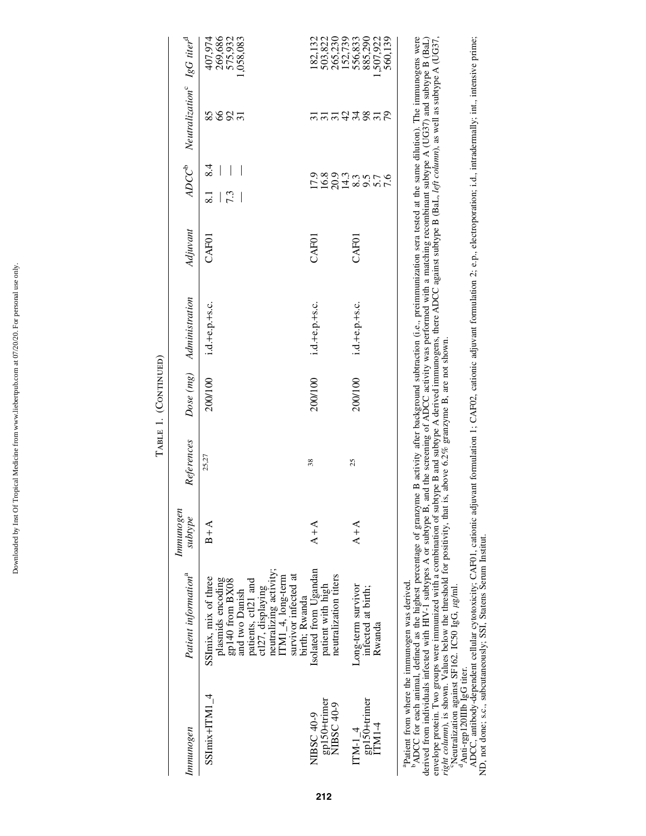| l<br>;<br>í                                                                                          |  |
|------------------------------------------------------------------------------------------------------|--|
| $\frac{1}{2}$                                                                                        |  |
| $\sim$                                                                                               |  |
|                                                                                                      |  |
| $\frac{1}{2}$<br>l                                                                                   |  |
|                                                                                                      |  |
| ı<br>i<br>ţ                                                                                          |  |
| י                                                                                                    |  |
| į                                                                                                    |  |
| ------                                                                                               |  |
| .<br>.<br>ı<br>֖֖֖֖֖֖ׅ֖֪֪ׅ֖֧֪ׅ֪֪֪֪֪֪֪֪֪֪֪֪֪֪֪֪֪֪֪֪֪֪֪֪֪֪֪֪֪֪֪֚֚֚֚֚֚֚֚֚֚֚֚֚֚֚֚֚֚֚֚֚֚֚֚֚֚֚֚֚֬֝֝֬֝֓֞֝֬֓ |  |
| indhai<br>5                                                                                          |  |
| $\frac{1}{2}$<br>ì                                                                                   |  |
| č                                                                                                    |  |
|                                                                                                      |  |
| ۱.<br>ć                                                                                              |  |
| त<br>j                                                                                               |  |
| $\overline{a}$<br>j<br>l<br>Í<br>l                                                                   |  |
| Į<br>í<br>l                                                                                          |  |
| ĺ<br>į                                                                                               |  |
| ׇ֬֕֓֕֓֡֡                                                                                             |  |
| l<br>i<br>į                                                                                          |  |
| <b>County</b>                                                                                        |  |
| ׇ֚֘֡<br>١                                                                                            |  |

|                                          |                                                                                                                                                                                                                                                                                                                                                                                                                                                   |                      |            | TABLE 1. (CONTINUED) |                          |          |                                       |                                                                      |                                                     |
|------------------------------------------|---------------------------------------------------------------------------------------------------------------------------------------------------------------------------------------------------------------------------------------------------------------------------------------------------------------------------------------------------------------------------------------------------------------------------------------------------|----------------------|------------|----------------------|--------------------------|----------|---------------------------------------|----------------------------------------------------------------------|-----------------------------------------------------|
| Immunogen                                | Patient information <sup>a</sup>                                                                                                                                                                                                                                                                                                                                                                                                                  | Immunogen<br>subtype | References |                      | Dose (mg) Administration | Adjuvant |                                       | ADCC <sup>b</sup> Neutralization <sup>c</sup> IgG titer <sup>d</sup> |                                                     |
| $S_{\text{SImix+ITMI}_4$                 | neutralizing activity;<br>survivor infected at<br>$ITMI_4$ , long-term<br>SSImix, mix of three<br>plasmids encoding<br>gp140 from BX08<br>patients, ctl21 and<br>ctl27, displaying<br>and two Danish                                                                                                                                                                                                                                              | $B + A$              | 25,27      | 200/100              | i.d.+e.p.+s.c.           | CAFOI    | 8.4<br>7.3<br>$\overline{\text{s}}$ . | <b>SSS33</b>                                                         | 269,686<br>575,932<br>407,974<br>.,058,083          |
| gp150+trimer<br>NIBSC 40-9<br>NIBSC 40-9 | Isolated from Ugandan<br>neutralization titers<br>patient with high<br>birth; Rwanda                                                                                                                                                                                                                                                                                                                                                              | $A+A$                | 38         | 200/100              | i.d.+e.p.+s.c.           | CAFOI    | 1183933<br>118313                     |                                                                      | 503,822<br>265,230<br>182,132                       |
| gp150+trimer<br>ITM1-4<br>$ITM-14$       | Long-term survivor<br>infected at birth;<br>Rwanda                                                                                                                                                                                                                                                                                                                                                                                                | $A + A$              | 25         | 200/100              | i.d.+e.p.+s.c.           | CAFOI    | 9.76                                  | Engrazen                                                             | 152,739<br>556,833<br>885,290<br>507,922<br>560,139 |
|                                          | ADCC for each animal, defined as the highest percentage of granzyme B activity after background subtraction (i.e., preimmunization sera tested at the same dilution). The immunogens were<br>derived from individuals infected with HIV-1 subtypes A or subtype B, and the screening of ADCC activity was performed with a matching recombinant subtype A (UG37) and subtype B (BaL)<br><sup>apatient</sup> from where the immunogen was derived. |                      |            |                      |                          |          |                                       |                                                                      |                                                     |

<sup>b</sup>ADCC for each animal, defined as the highest percentage of granzyme B activity after background subtraction (i.e., preimmuization sera tested at the same dilution). The immunogens were<br>derived from individuals infected derived from individuals infected with HIV-1 subtypes A or subtype B, and the screening of ADCC activity was performed with a matching recombinant subtype A (UG37) and subtype B (BaL) envelope protein. Two groups were immunized with a combination of subtype B and subtype A derived immunogens, there ADCC against subtype B (BaL, *left column*), as well as subtype A (UG37, *right column*), is shown. Values below the threshold for positivity, that is, above 6.2% granzyme B, are not shown.<br>"Neutralization against SF162. IC50 IgG,  $\mu$ g/ml. dAnti-rgp120IIIB IgG titer.

ADCC, antibody-dependent cellular cytotoxicity; CAF01, cationic adjuvant formulation 1; CAF02, cationic adjuvant formulation 2; e.p., electroporation; i.d., intradermally; int., intensive prime; ND, not done; s.c., subcutaneously; SSI, Statens Serum Institut.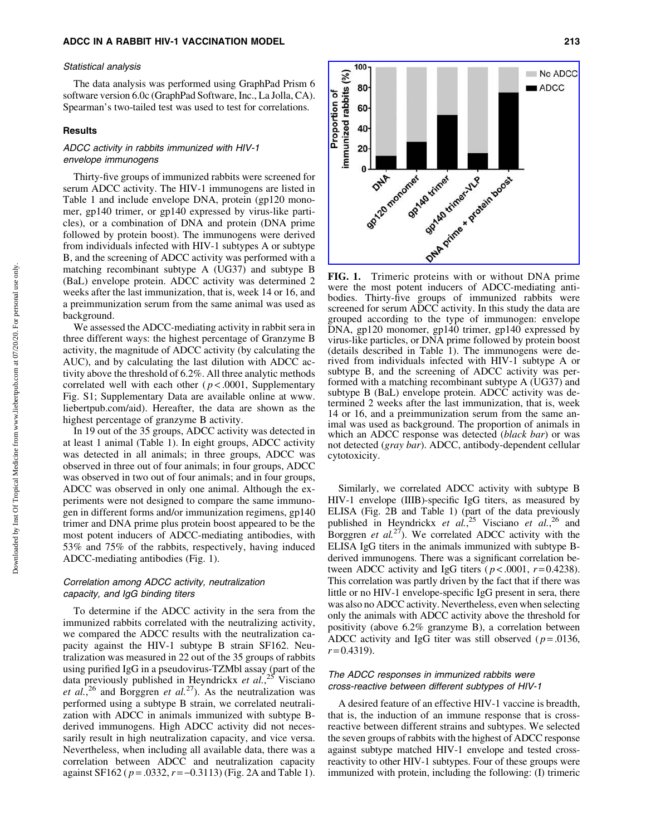#### Statistical analysis

The data analysis was performed using GraphPad Prism 6 software version 6.0c (GraphPad Software, Inc., La Jolla, CA). Spearman's two-tailed test was used to test for correlations.

## **Results**

## ADCC activity in rabbits immunized with HIV-1 envelope immunogens

Thirty-five groups of immunized rabbits were screened for serum ADCC activity. The HIV-1 immunogens are listed in Table 1 and include envelope DNA, protein (gp120 monomer, gp140 trimer, or gp140 expressed by virus-like particles), or a combination of DNA and protein (DNA prime followed by protein boost). The immunogens were derived from individuals infected with HIV-1 subtypes A or subtype B, and the screening of ADCC activity was performed with a matching recombinant subtype A (UG37) and subtype B (BaL) envelope protein. ADCC activity was determined 2 weeks after the last immunization, that is, week 14 or 16, and a preimmunization serum from the same animal was used as background.

We assessed the ADCC-mediating activity in rabbit sera in three different ways: the highest percentage of Granzyme B activity, the magnitude of ADCC activity (by calculating the AUC), and by calculating the last dilution with ADCC activity above the threshold of 6.2%. All three analytic methods correlated well with each other ( $p$ <.0001, Supplementary Fig. S1; Supplementary Data are available online at www. liebertpub.com/aid). Hereafter, the data are shown as the highest percentage of granzyme B activity.

In 19 out of the 35 groups, ADCC activity was detected in at least 1 animal (Table 1). In eight groups, ADCC activity was detected in all animals; in three groups, ADCC was observed in three out of four animals; in four groups, ADCC was observed in two out of four animals; and in four groups, ADCC was observed in only one animal. Although the experiments were not designed to compare the same immunogen in different forms and/or immunization regimens, gp140 trimer and DNA prime plus protein boost appeared to be the most potent inducers of ADCC-mediating antibodies, with 53% and 75% of the rabbits, respectively, having induced ADCC-mediating antibodies (Fig. 1).

## Correlation among ADCC activity, neutralization capacity, and IgG binding titers

To determine if the ADCC activity in the sera from the immunized rabbits correlated with the neutralizing activity, we compared the ADCC results with the neutralization capacity against the HIV-1 subtype B strain SF162. Neutralization was measured in 22 out of the 35 groups of rabbits using purified IgG in a pseudovirus-TZMbl assay (part of the data previously published in Heyndrickx *et al.*, <sup>25</sup> Visciano *et al.*<sup>26</sup> and Borggren *et al.*<sup>27</sup>). As the neutralization was performed using a subtype B strain, we correlated neutralization with ADCC in animals immunized with subtype Bderived immunogens. High ADCC activity did not necessarily result in high neutralization capacity, and vice versa. Nevertheless, when including all available data, there was a correlation between ADCC and neutralization capacity against SF162 ( *p* = .0332, *r* = -0.3113) (Fig. 2A and Table 1).



were the most potent inducers of ADCC-mediating antibodies. Thirty-five groups of immunized rabbits were screened for serum ADCC activity. In this study the data are grouped according to the type of immunogen: envelope DNA, gp120 monomer, gp140 trimer, gp140 expressed by virus-like particles, or DNA prime followed by protein boost (details described in Table 1). The immunogens were derived from individuals infected with HIV-1 subtype A or subtype B, and the screening of ADCC activity was performed with a matching recombinant subtype A (UG37) and subtype B (BaL) envelope protein. ADCC activity was determined 2 weeks after the last immunization, that is, week 14 or 16, and a preimmunization serum from the same animal was used as background. The proportion of animals in which an ADCC response was detected (*black bar*) or was not detected (*gray bar*). ADCC, antibody-dependent cellular cytotoxicity.

Similarly, we correlated ADCC activity with subtype B HIV-1 envelope (IIIB)-specific IgG titers, as measured by ELISA (Fig. 2B and Table 1) (part of the data previously published in Heyndrickx *et al.*, <sup>25</sup> Visciano *et al.*, <sup>26</sup> and Borggren *et al.*27). We correlated ADCC activity with the ELISA IgG titers in the animals immunized with subtype Bderived immunogens. There was a significant correlation between ADCC activity and IgG titers ( $p < .0001$ ,  $r = 0.4238$ ). This correlation was partly driven by the fact that if there was little or no HIV-1 envelope-specific IgG present in sera, there was also no ADCC activity. Nevertheless, even when selecting only the animals with ADCC activity above the threshold for positivity (above 6.2% granzyme B), a correlation between ADCC activity and IgG titer was still observed ( $p = .0136$ ,  $r = 0.4319$ .

## The ADCC responses in immunized rabbits were cross-reactive between different subtypes of HIV-1

A desired feature of an effective HIV-1 vaccine is breadth, that is, the induction of an immune response that is crossreactive between different strains and subtypes. We selected the seven groups of rabbits with the highest of ADCC response against subtype matched HIV-1 envelope and tested crossreactivity to other HIV-1 subtypes. Four of these groups were immunized with protein, including the following: (I) trimeric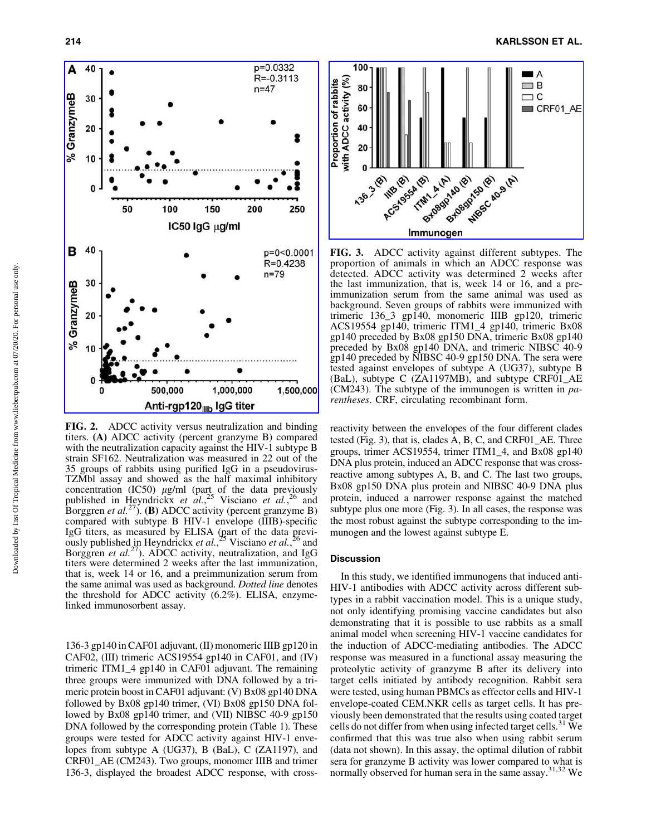

FIG. 2. ADCC activity versus neutralization and binding titers. (A) ADCC activity (percent granzyme B) compared with the neutralization capacity against the HIV-1 subtype B strain SF162. Neutralization was measured in 22 out of the 35 groups of rabbits using purified IgG in a pseudovirus-TZMbl assay and showed as the half maximal inhibitory concentration (IC50)  $\mu$ g/ml (part of the data previously published in Heyndrickx *et al.*, <sup>25</sup> Visciano *et al.*, <sup>26</sup> and Borggren *et al.*<sup>27</sup>). (**B**) ADCC activity (percent granzyme B) compared with subtype B HIV-1 envelope (IIIB)-specific IgG titers, as measured by ELISA (part of the data previously published in Heyndrickx *et al.*, <sup>25</sup> Visciano *et al.*, <sup>26</sup> and Borggren *et al.*<sup>27</sup>). ADCC activity, neutralization, and IgG titers were determined 2 weeks after the last immunization, that is, week 14 or 16, and a preimmunization serum from the same animal was used as background. *Dotted line* denotes the threshold for ADCC activity (6.2%). ELISA, enzymelinked immunosorbent assay.

136-3 gp140 in CAF01 adjuvant, (II) monomeric IIIB gp120 in CAF02, (III) trimeric ACS19554 gp140 in CAF01, and (IV) trimeric ITM1\_4 gp140 in CAF01 adjuvant. The remaining three groups were immunized with DNA followed by a trimeric protein boost in CAF01 adjuvant: (V) Bx08 gp140 DNA followed by Bx08 gp140 trimer, (VI) Bx08 gp150 DNA followed by Bx08 gp140 trimer, and (VII) NIBSC 40-9 gp150 DNA followed by the corresponding protein (Table 1). These groups were tested for ADCC activity against HIV-1 envelopes from subtype A (UG37), B (BaL), C (ZA1197), and CRF01\_AE (CM243). Two groups, monomer IIIB and trimer 136-3, displayed the broadest ADCC response, with cross-



FIG. 3. ADCC activity against different subtypes. The proportion of animals in which an ADCC response was detected. ADCC activity was determined 2 weeks after the last immunization, that is, week 14 or 16, and a preimmunization serum from the same animal was used as background. Seven groups of rabbits were immunized with trimeric 136\_3 gp140, monomeric IIIB gp120, trimeric ACS19554 gp140, trimeric ITM1\_4 gp140, trimeric Bx08 gp140 preceded by Bx08 gp150 DNA, trimeric Bx08 gp140 preceded by Bx08 gp140 DNA, and trimeric NIBSC 40-9 gp140 preceded by NIBSC 40-9 gp150 DNA. The sera were tested against envelopes of subtype A (UG37), subtype B (BaL), subtype C (ZA1197MB), and subtype CRF01\_AE (CM243). The subtype of the immunogen is written in *parentheses*. CRF, circulating recombinant form.

reactivity between the envelopes of the four different clades tested (Fig. 3), that is, clades A, B, C, and CRF01\_AE. Three groups, trimer ACS19554, trimer ITM1\_4, and Bx08 gp140 DNA plus protein, induced an ADCC response that was crossreactive among subtypes A, B, and C. The last two groups, Bx08 gp150 DNA plus protein and NIBSC 40-9 DNA plus protein, induced a narrower response against the matched subtype plus one more (Fig. 3). In all cases, the response was the most robust against the subtype corresponding to the immunogen and the lowest against subtype E.

## Discussion

In this study, we identified immunogens that induced anti-HIV-1 antibodies with ADCC activity across different subtypes in a rabbit vaccination model. This is a unique study, not only identifying promising vaccine candidates but also demonstrating that it is possible to use rabbits as a small animal model when screening HIV-1 vaccine candidates for the induction of ADCC-mediating antibodies. The ADCC response was measured in a functional assay measuring the proteolytic activity of granzyme B after its delivery into target cells initiated by antibody recognition. Rabbit sera were tested, using human PBMCs as effector cells and HIV-1 envelope-coated CEM.NKR cells as target cells. It has previously been demonstrated that the results using coated target cells do not differ from when using infected target cells.<sup>31</sup> We confirmed that this was true also when using rabbit serum (data not shown). In this assay, the optimal dilution of rabbit sera for granzyme B activity was lower compared to what is normally observed for human sera in the same assay.<sup>31,32</sup> We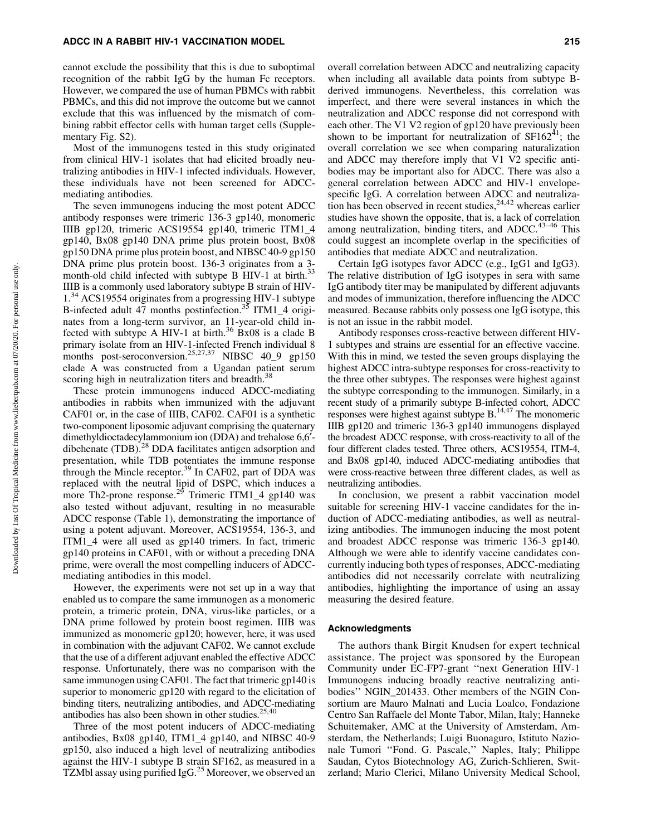cannot exclude the possibility that this is due to suboptimal recognition of the rabbit IgG by the human Fc receptors. However, we compared the use of human PBMCs with rabbit PBMCs, and this did not improve the outcome but we cannot exclude that this was influenced by the mismatch of combining rabbit effector cells with human target cells (Supplementary Fig. S2).

Most of the immunogens tested in this study originated from clinical HIV-1 isolates that had elicited broadly neutralizing antibodies in HIV-1 infected individuals. However, these individuals have not been screened for ADCCmediating antibodies.

The seven immunogens inducing the most potent ADCC antibody responses were trimeric 136-3 gp140, monomeric IIIB gp120, trimeric ACS19554 gp140, trimeric ITM1\_4 gp140, Bx08 gp140 DNA prime plus protein boost, Bx08 gp150 DNA prime plus protein boost, and NIBSC 40-9 gp150 DNA prime plus protein boost. 136-3 originates from a 3 month-old child infected with subtype B HIV-1 at birth.<sup>33</sup> IIIB is a commonly used laboratory subtype B strain of HIV-1.<sup>34</sup> ACS19554 originates from a progressing HIV-1 subtype B-infected adult 47 months postinfection.<sup>35</sup> ITM1\_4 originates from a long-term survivor, an 11-year-old child infected with subtype A HIV-1 at birth.<sup>36</sup> Bx08 is a clade B primary isolate from an HIV-1-infected French individual 8 months post-seroconversion.<sup>25,27,37</sup> NIBSC 40\_9 gp150 clade A was constructed from a Ugandan patient serum scoring high in neutralization titers and breadth.<sup>38</sup>

These protein immunogens induced ADCC-mediating antibodies in rabbits when immunized with the adjuvant CAF01 or, in the case of IIIB, CAF02. CAF01 is a synthetic two-component liposomic adjuvant comprising the quaternary dimethyldioctadecylammonium ion (DDA) and trehalose 6,6<sup>'</sup>dibehenate (TDB).<sup>28</sup> DDA facilitates antigen adsorption and presentation, while TDB potentiates the immune response through the Mincle receptor.<sup>39</sup> In CAF02, part of DDA was replaced with the neutral lipid of DSPC, which induces a more Th2-prone response.<sup>29</sup> Trimeric ITM1\_4 gp140 was also tested without adjuvant, resulting in no measurable ADCC response (Table 1), demonstrating the importance of using a potent adjuvant. Moreover, ACS19554, 136-3, and ITM1\_4 were all used as gp140 trimers. In fact, trimeric gp140 proteins in CAF01, with or without a preceding DNA prime, were overall the most compelling inducers of ADCCmediating antibodies in this model.

However, the experiments were not set up in a way that enabled us to compare the same immunogen as a monomeric protein, a trimeric protein, DNA, virus-like particles, or a DNA prime followed by protein boost regimen. IIIB was immunized as monomeric gp120; however, here, it was used in combination with the adjuvant CAF02. We cannot exclude that the use of a different adjuvant enabled the effective ADCC response. Unfortunately, there was no comparison with the same immunogen using CAF01. The fact that trimeric gp140 is superior to monomeric gp120 with regard to the elicitation of binding titers, neutralizing antibodies, and ADCC-mediating antibodies has also been shown in other studies. $25,40$ 

Three of the most potent inducers of ADCC-mediating antibodies, Bx08 gp140, ITM1\_4 gp140, and NIBSC 40-9 gp150, also induced a high level of neutralizing antibodies against the HIV-1 subtype B strain SF162, as measured in a TZMbl assay using purified IgG.<sup>25</sup> Moreover, we observed an overall correlation between ADCC and neutralizing capacity when including all available data points from subtype Bderived immunogens. Nevertheless, this correlation was imperfect, and there were several instances in which the neutralization and ADCC response did not correspond with each other. The V1 V2 region of gp120 have previously been shown to be important for neutralization of  $SF162<sup>41</sup>$ ; the overall correlation we see when comparing naturalization and ADCC may therefore imply that V1 V2 specific antibodies may be important also for ADCC. There was also a general correlation between ADCC and HIV-1 envelopespecific IgG. A correlation between ADCC and neutralization has been observed in recent studies,  $24,42$  whereas earlier studies have shown the opposite, that is, a lack of correlation among neutralization, binding titers, and ADCC.<sup>43-46</sup> This could suggest an incomplete overlap in the specificities of antibodies that mediate ADCC and neutralization.

Certain IgG isotypes favor ADCC (e.g., IgG1 and IgG3). The relative distribution of IgG isotypes in sera with same IgG antibody titer may be manipulated by different adjuvants and modes of immunization, therefore influencing the ADCC measured. Because rabbits only possess one IgG isotype, this is not an issue in the rabbit model.

Antibody responses cross-reactive between different HIV-1 subtypes and strains are essential for an effective vaccine. With this in mind, we tested the seven groups displaying the highest ADCC intra-subtype responses for cross-reactivity to the three other subtypes. The responses were highest against the subtype corresponding to the immunogen. Similarly, in a recent study of a primarily subtype B-infected cohort, ADCC responses were highest against subtype  $B$ .<sup>14,47</sup> The monomeric IIIB gp120 and trimeric 136-3 gp140 immunogens displayed the broadest ADCC response, with cross-reactivity to all of the four different clades tested. Three others, ACS19554, ITM-4, and Bx08 gp140, induced ADCC-mediating antibodies that were cross-reactive between three different clades, as well as neutralizing antibodies.

In conclusion, we present a rabbit vaccination model suitable for screening HIV-1 vaccine candidates for the induction of ADCC-mediating antibodies, as well as neutralizing antibodies. The immunogen inducing the most potent and broadest ADCC response was trimeric 136-3 gp140. Although we were able to identify vaccine candidates concurrently inducing both types of responses, ADCC-mediating antibodies did not necessarily correlate with neutralizing antibodies, highlighting the importance of using an assay measuring the desired feature.

#### Acknowledgments

The authors thank Birgit Knudsen for expert technical assistance. The project was sponsored by the European Community under EC-FP7-grant ''next Generation HIV-1 Immunogens inducing broadly reactive neutralizing antibodies'' NGIN\_201433. Other members of the NGIN Consortium are Mauro Malnati and Lucia Loalco, Fondazione Centro San Raffaele del Monte Tabor, Milan, Italy; Hanneke Schuitemaker, AMC at the University of Amsterdam, Amsterdam, the Netherlands; Luigi Buonaguro, Istituto Nazionale Tumori ''Fond. G. Pascale,'' Naples, Italy; Philippe Saudan, Cytos Biotechnology AG, Zurich-Schlieren, Switzerland; Mario Clerici, Milano University Medical School,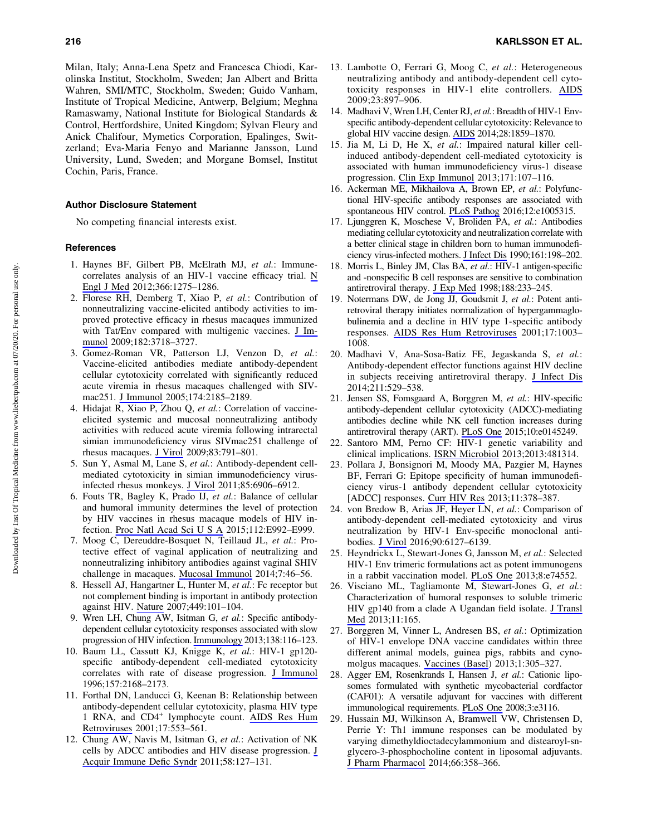Milan, Italy; Anna-Lena Spetz and Francesca Chiodi, Karolinska Institut, Stockholm, Sweden; Jan Albert and Britta Wahren, SMI/MTC, Stockholm, Sweden; Guido Vanham, Institute of Tropical Medicine, Antwerp, Belgium; Meghna Ramaswamy, National Institute for Biological Standards & Control, Hertfordshire, United Kingdom; Sylvan Fleury and Anick Chalifour, Mymetics Corporation, Epalinges, Switzerland; Eva-Maria Fenyo and Marianne Jansson, Lund University, Lund, Sweden; and Morgane Bomsel, Institut Cochin, Paris, France.

#### Author Disclosure Statement

No competing financial interests exist.

## References

- 1. Haynes BF, Gilbert PB, McElrath MJ, *et al.*: Immunecorrelates analysis of an HIV-1 vaccine efficacy trial. [N](https://www.liebertpub.com/action/showLinks?pmid=22475592&crossref=10.1056%2FNEJMoa1113425&citationId=p_14) [Engl J Med](https://www.liebertpub.com/action/showLinks?pmid=22475592&crossref=10.1056%2FNEJMoa1113425&citationId=p_14) 2012;366:1275–1286.
- 2. Florese RH, Demberg T, Xiao P, *et al.*: Contribution of nonneutralizing vaccine-elicited antibody activities to improved protective efficacy in rhesus macaques immunized with Tat/Env compared with multigenic vaccines. [J Im](https://www.liebertpub.com/action/showLinks?pmid=19265150&crossref=10.4049%2Fjimmunol.0803115&citationId=p_15)[munol](https://www.liebertpub.com/action/showLinks?pmid=19265150&crossref=10.4049%2Fjimmunol.0803115&citationId=p_15) 2009;182:3718–3727.
- 3. Gomez-Roman VR, Patterson LJ, Venzon D, *et al.*: Vaccine-elicited antibodies mediate antibody-dependent cellular cytotoxicity correlated with significantly reduced acute viremia in rhesus macaques challenged with SIVmac251. [J Immunol](https://www.liebertpub.com/action/showLinks?pmid=15699150&crossref=10.4049%2Fjimmunol.174.4.2185&citationId=p_16) 2005;174:2185–2189.
- 4. Hidajat R, Xiao P, Zhou Q, *et al.*: Correlation of vaccineelicited systemic and mucosal nonneutralizing antibody activities with reduced acute viremia following intrarectal simian immunodeficiency virus SIVmac251 challenge of rhesus macaques. [J Virol](https://www.liebertpub.com/action/showLinks?pmid=18971271&crossref=10.1128%2FJVI.01672-08&citationId=p_17) 2009;83:791–801.
- 5. Sun Y, Asmal M, Lane S, *et al.*: Antibody-dependent cellmediated cytotoxicity in simian immunodeficiency virusinfected rhesus monkeys. [J Virol](https://www.liebertpub.com/action/showLinks?pmid=21593181&crossref=10.1128%2FJVI.00326-11&citationId=p_18) 2011;85:6906–6912.
- 6. Fouts TR, Bagley K, Prado IJ, *et al.*: Balance of cellular and humoral immunity determines the level of protection by HIV vaccines in rhesus macaque models of HIV infection. [Proc Natl Acad Sci U S A](https://www.liebertpub.com/action/showLinks?pmid=25681373&crossref=10.1073%2Fpnas.1423669112&citationId=p_19) 2015;112:E992–E999.
- 7. Moog C, Dereuddre-Bosquet N, Teillaud JL, *et al.*: Protective effect of vaginal application of neutralizing and nonneutralizing inhibitory antibodies against vaginal SHIV challenge in macaques. [Mucosal Immunol](https://www.liebertpub.com/action/showLinks?pmid=23591718&crossref=10.1038%2Fmi.2013.23&citationId=p_20) 2014;7:46–56.
- 8. Hessell AJ, Hangartner L, Hunter M, *et al.*: Fc receptor but not complement binding is important in antibody protection against HIV. [Nature](https://www.liebertpub.com/action/showLinks?pmid=17805298&crossref=10.1038%2Fnature06106&citationId=p_21) 2007;449:101–104.
- 9. Wren LH, Chung AW, Isitman G, *et al.*: Specific antibodydependent cellular cytotoxicity responses associated with slow progression of HIV infection. [Immunology](https://www.liebertpub.com/action/showLinks?pmid=23173935&crossref=10.1111%2Fimm.12016&citationId=p_22) 2013;138:116–123.
- 10. Baum LL, Cassutt KJ, Knigge K, *et al.*: HIV-1 gp120 specific antibody-dependent cell-mediated cytotoxicity correlates with rate of disease progression. [J Immunol](https://www.liebertpub.com/action/showLinks?pmid=8757343&citationId=p_23) 1996;157:2168–2173.
- 11. Forthal DN, Landucci G, Keenan B: Relationship between antibody-dependent cellular cytotoxicity, plasma HIV type 1 RNA, and CD4<sup>+</sup> lymphocyte count. [AIDS Res Hum](https://www.liebertpub.com/action/showLinks?system=10.1089%2F08892220151126661&citationId=p_24) [Retroviruses](https://www.liebertpub.com/action/showLinks?system=10.1089%2F08892220151126661&citationId=p_24) 2001;17:553–561.
- 12. Chung AW, Navis M, Isitman G, *et al.*: Activation of NK cells by ADCC antibodies and HIV disease progression. [J](https://www.liebertpub.com/action/showLinks?pmid=21792067&crossref=10.1097%2FQAI.0b013e31822c62b9&citationId=p_25) [Acquir Immune Defic Syndr](https://www.liebertpub.com/action/showLinks?pmid=21792067&crossref=10.1097%2FQAI.0b013e31822c62b9&citationId=p_25) 2011;58:127–131.
- 13. Lambotte O, Ferrari G, Moog C, *et al.*: Heterogeneous neutralizing antibody and antibody-dependent cell cytotoxicity responses in HIV-1 elite controllers. [AIDS](https://www.liebertpub.com/action/showLinks?pmid=19414990&crossref=10.1097%2FQAD.0b013e328329f97d&citationId=p_26) 2009;23:897–906.
- 14. Madhavi V, Wren LH, Center RJ, *et al.*: Breadth of HIV-1 Envspecific antibody-dependent cellular cytotoxicity: Relevance to global HIV vaccine design. [AIDS](https://www.liebertpub.com/action/showLinks?pmid=24937308&crossref=10.1097%2FQAD.0000000000000310&citationId=p_27) 2014;28:1859–1870.
- 15. Jia M, Li D, He X, *et al.*: Impaired natural killer cellinduced antibody-dependent cell-mediated cytotoxicity is associated with human immunodeficiency virus-1 disease progression. [Clin Exp Immunol](https://www.liebertpub.com/action/showLinks?pmid=23199330&crossref=10.1111%2Fj.1365-2249.2012.04672.x&citationId=p_28) 2013;171:107–116.
- 16. Ackerman ME, Mikhailova A, Brown EP, *et al.*: Polyfunctional HIV-specific antibody responses are associated with spontaneous HIV control. [PLoS Pathog](https://www.liebertpub.com/action/showLinks?pmid=26745376&crossref=10.1371%2Fjournal.ppat.1005315&citationId=p_29) 2016;12:e1005315.
- 17. Ljunggren K, Moschese V, Broliden PA, *et al.*: Antibodies mediating cellular cytotoxicity and neutralization correlate with a better clinical stage in children born to human immunodeficiency virus-infected mothers. [J Infect Dis](https://www.liebertpub.com/action/showLinks?pmid=2299204&crossref=10.1093%2Finfdis%2F161.2.198&citationId=p_30) 1990;161:198–202.
- 18. Morris L, Binley JM, Clas BA, *et al.*: HIV-1 antigen-specific and -nonspecific B cell responses are sensitive to combination antiretroviral therapy. [J Exp Med](https://www.liebertpub.com/action/showLinks?pmid=9670036&crossref=10.1084%2Fjem.188.2.233&citationId=p_31) 1998;188:233–245.
- 19. Notermans DW, de Jong JJ, Goudsmit J, *et al.*: Potent antiretroviral therapy initiates normalization of hypergammaglobulinemia and a decline in HIV type 1-specific antibody responses. [AIDS Res Hum Retroviruses](https://www.liebertpub.com/action/showLinks?system=10.1089%2F088922201300343681&citationId=p_32) 2001;17:1003– 1008.
- 20. Madhavi V, Ana-Sosa-Batiz FE, Jegaskanda S, *et al.*: Antibody-dependent effector functions against HIV decline in subjects receiving antiretroviral therapy. [J Infect Dis](https://www.liebertpub.com/action/showLinks?pmid=25170105&crossref=10.1093%2Finfdis%2Fjiu486&citationId=p_33) 2014;211:529–538.
- 21. Jensen SS, Fomsgaard A, Borggren M, *et al.*: HIV-specific antibody-dependent cellular cytotoxicity (ADCC)-mediating antibodies decline while NK cell function increases during antiretroviral therapy (ART). [PLoS One](https://www.liebertpub.com/action/showLinks?pmid=26696395&crossref=10.1371%2Fjournal.pone.0145249&citationId=p_34) 2015;10:e0145249.
- 22. Santoro MM, Perno CF: HIV-1 genetic variability and clinical implications. [ISRN Microbiol](https://www.liebertpub.com/action/showLinks?pmid=23844315&crossref=10.1155%2F2013%2F481314&citationId=p_35) 2013;2013:481314.
- 23. Pollara J, Bonsignori M, Moody MA, Pazgier M, Haynes BF, Ferrari G: Epitope specificity of human immunodeficiency virus-1 antibody dependent cellular cytotoxicity [ADCC] responses. [Curr HIV Res](https://www.liebertpub.com/action/showLinks?pmid=24191939&crossref=10.2174%2F1570162X113116660059&citationId=p_36) 2013;11:378–387.
- 24. von Bredow B, Arias JF, Heyer LN, *et al.*: Comparison of antibody-dependent cell-mediated cytotoxicity and virus neutralization by HIV-1 Env-specific monoclonal antibodies. [J Virol](https://www.liebertpub.com/action/showLinks?pmid=27122574&crossref=10.1128%2FJVI.00347-16&citationId=p_37) 2016;90:6127–6139.
- 25. Heyndrickx L, Stewart-Jones G, Jansson M, *et al.*: Selected HIV-1 Env trimeric formulations act as potent immunogens in a rabbit vaccination model. [PLoS One](https://www.liebertpub.com/action/showLinks?pmid=24023951&crossref=10.1371%2Fjournal.pone.0074552&citationId=p_38) 2013;8:e74552.
- 26. Visciano ML, Tagliamonte M, Stewart-Jones G, *et al.*: Characterization of humoral responses to soluble trimeric HIV gp140 from a clade A Ugandan field isolate. [J Transl](https://www.liebertpub.com/action/showLinks?pmid=23835244&crossref=10.1186%2F1479-5876-11-165&citationId=p_39) [Med](https://www.liebertpub.com/action/showLinks?pmid=23835244&crossref=10.1186%2F1479-5876-11-165&citationId=p_39) 2013;11:165.
- 27. Borggren M, Vinner L, Andresen BS, *et al.*: Optimization of HIV-1 envelope DNA vaccine candidates within three different animal models, guinea pigs, rabbits and cynomolgus macaques. [Vaccines \(Basel](https://www.liebertpub.com/action/showLinks?pmid=26344115&crossref=10.3390%2Fvaccines1030305&citationId=p_40)) 2013;1:305–327.
- 28. Agger EM, Rosenkrands I, Hansen J, *et al.*: Cationic liposomes formulated with synthetic mycobacterial cordfactor (CAF01): A versatile adjuvant for vaccines with different immunological requirements. [PLoS One](https://www.liebertpub.com/action/showLinks?pmid=18776936&crossref=10.1371%2Fjournal.pone.0003116&citationId=p_41) 2008;3:e3116.
- 29. Hussain MJ, Wilkinson A, Bramwell VW, Christensen D, Perrie Y: Th1 immune responses can be modulated by varying dimethyldioctadecylammonium and distearoyl-snglycero-3-phosphocholine content in liposomal adjuvants. [J Pharm Pharmacol](https://www.liebertpub.com/action/showLinks?pmid=24251796&crossref=10.1111%2Fjphp.12173&citationId=p_42) 2014;66:358–366.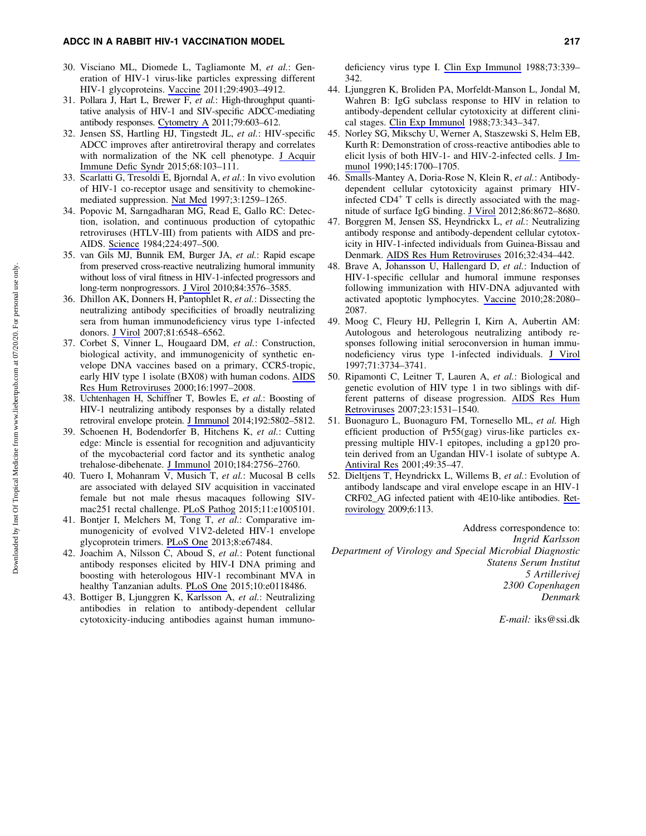## ADCC IN A RABBIT HIV-1 VACCINATION MODEL 217

- 30. Visciano ML, Diomede L, Tagliamonte M, *et al.*: Generation of HIV-1 virus-like particles expressing different HIV-1 glycoproteins. [Vaccine](https://www.liebertpub.com/action/showLinks?pmid=21596074&crossref=10.1016%2Fj.vaccine.2011.05.005&citationId=p_43) 2011;29:4903–4912.
- 31. Pollara J, Hart L, Brewer F, *et al.*: High-throughput quantitative analysis of HIV-1 and SIV-specific ADCC-mediating antibody responses. [Cytometry A](https://www.liebertpub.com/action/showLinks?pmid=21735545&crossref=10.1002%2Fcyto.a.21084&citationId=p_44) 2011;79:603–612.
- 32. Jensen SS, Hartling HJ, Tingstedt JL, *et al.*: HIV-specific ADCC improves after antiretroviral therapy and correlates with normalization of the NK cell phenotype. [J Acquir](https://www.liebertpub.com/action/showLinks?pmid=25394194&crossref=10.1097%2FQAI.0000000000000429&citationId=p_45) [Immune Defic Syndr](https://www.liebertpub.com/action/showLinks?pmid=25394194&crossref=10.1097%2FQAI.0000000000000429&citationId=p_45) 2015;68:103–111.
- 33. Scarlatti G, Tresoldi E, Bjorndal A, *et al.*: In vivo evolution of HIV-1 co-receptor usage and sensitivity to chemokinemediated suppression. [Nat Med](https://www.liebertpub.com/action/showLinks?pmid=9359702&crossref=10.1038%2Fnm1197-1259&citationId=p_46) 1997;3:1259–1265.
- 34. Popovic M, Sarngadharan MG, Read E, Gallo RC: Detection, isolation, and continuous production of cytopathic retroviruses (HTLV-III) from patients with AIDS and pre-AIDS. [Science](https://www.liebertpub.com/action/showLinks?pmid=6200935&crossref=10.1126%2Fscience.6200935&citationId=p_47) 1984;224:497–500.
- 35. van Gils MJ, Bunnik EM, Burger JA, *et al.*: Rapid escape from preserved cross-reactive neutralizing humoral immunity without loss of viral fitness in HIV-1-infected progressors and long-term nonprogressors. [J Virol](https://www.liebertpub.com/action/showLinks?pmid=20071586&crossref=10.1128%2FJVI.02622-09&citationId=p_48) 2010;84:3576–3585.
- 36. Dhillon AK, Donners H, Pantophlet R, *et al.*: Dissecting the neutralizing antibody specificities of broadly neutralizing sera from human immunodeficiency virus type 1-infected donors. [J Virol](https://www.liebertpub.com/action/showLinks?pmid=17409160&crossref=10.1128%2FJVI.02749-06&citationId=p_49) 2007;81:6548–6562.
- 37. Corbet S, Vinner L, Hougaard DM, *et al.*: Construction, biological activity, and immunogenicity of synthetic envelope DNA vaccines based on a primary, CCR5-tropic, early HIV type 1 isolate (BX08) with human codons. [AIDS](https://www.liebertpub.com/action/showLinks?system=10.1089%2F088922200750054738&citationId=p_50) [Res Hum Retroviruses](https://www.liebertpub.com/action/showLinks?system=10.1089%2F088922200750054738&citationId=p_50) 2000;16:1997–2008.
- 38. Uchtenhagen H, Schiffner T, Bowles E, *et al.*: Boosting of HIV-1 neutralizing antibody responses by a distally related retroviral envelope protein. [J Immunol](https://www.liebertpub.com/action/showLinks?pmid=24829409&crossref=10.4049%2Fjimmunol.1301898&citationId=p_51) 2014;192:5802–5812.
- 39. Schoenen H, Bodendorfer B, Hitchens K, *et al.*: Cutting edge: Mincle is essential for recognition and adjuvanticity of the mycobacterial cord factor and its synthetic analog trehalose-dibehenate. [J Immunol](https://www.liebertpub.com/action/showLinks?pmid=20164423&crossref=10.4049%2Fjimmunol.0904013&citationId=p_52) 2010;184:2756–2760.
- 40. Tuero I, Mohanram V, Musich T, *et al.*: Mucosal B cells are associated with delayed SIV acquisition in vaccinated female but not male rhesus macaques following SIVmac251 rectal challenge. [PLoS Pathog](https://www.liebertpub.com/action/showLinks?pmid=26267144&crossref=10.1371%2Fjournal.ppat.1005101&citationId=p_53) 2015;11:e1005101.
- 41. Bontjer I, Melchers M, Tong T, *et al.*: Comparative immunogenicity of evolved V1V2-deleted HIV-1 envelope glycoprotein trimers. [PLoS One](https://www.liebertpub.com/action/showLinks?pmid=23840716&crossref=10.1371%2Fjournal.pone.0067484&citationId=p_54) 2013;8:e67484.
- 42. Joachim A, Nilsson C, Aboud S, *et al.*: Potent functional antibody responses elicited by HIV-I DNA priming and boosting with heterologous HIV-1 recombinant MVA in healthy Tanzanian adults. [PLoS One](https://www.liebertpub.com/action/showLinks?pmid=25874723&crossref=10.1371%2Fjournal.pone.0118486&citationId=p_55) 2015;10:e0118486.
- 43. Bottiger B, Ljunggren K, Karlsson A, *et al.*: Neutralizing antibodies in relation to antibody-dependent cellular cytotoxicity-inducing antibodies against human immuno-

deficiency virus type I. [Clin Exp Immunol](https://www.liebertpub.com/action/showLinks?pmid=3208445&citationId=p_56) 1988;73:339– 342.

- 44. Ljunggren K, Broliden PA, Morfeldt-Manson L, Jondal M, Wahren B: IgG subclass response to HIV in relation to antibody-dependent cellular cytotoxicity at different clinical stages. [Clin Exp Immunol](https://www.liebertpub.com/action/showLinks?pmid=3208446&citationId=p_57) 1988;73:343–347.
- 45. Norley SG, Mikschy U, Werner A, Staszewski S, Helm EB, Kurth R: Demonstration of cross-reactive antibodies able to elicit lysis of both HIV-1- and HIV-2-infected cells. [J Im](https://www.liebertpub.com/action/showLinks?pmid=1697307&citationId=p_58)[munol](https://www.liebertpub.com/action/showLinks?pmid=1697307&citationId=p_58) 1990;145:1700–1705.
- 46. Smalls-Mantey A, Doria-Rose N, Klein R, *et al.*: Antibodydependent cellular cytotoxicity against primary HIVinfected  $CD4<sup>+</sup>$  T cells is directly associated with the magnitude of surface IgG binding. [J Virol](https://www.liebertpub.com/action/showLinks?pmid=22674985&crossref=10.1128%2FJVI.00287-12&citationId=p_59) 2012;86:8672–8680.
- 47. Borggren M, Jensen SS, Heyndrickx L, *et al.*: Neutralizing antibody response and antibody-dependent cellular cytotoxicity in HIV-1-infected individuals from Guinea-Bissau and Denmark. [AIDS Res Hum Retroviruses](https://www.liebertpub.com/action/showLinks?system=10.1089%2Faid.2015.0118&citationId=p_60) 2016;32:434–442.
- 48. Brave A, Johansson U, Hallengard D, *et al.*: Induction of HIV-1-specific cellular and humoral immune responses following immunization with HIV-DNA adjuvanted with activated apoptotic lymphocytes. [Vaccine](https://www.liebertpub.com/action/showLinks?pmid=20044053&crossref=10.1016%2Fj.vaccine.2009.12.040&citationId=p_61) 2010;28:2080– 2087.
- 49. Moog C, Fleury HJ, Pellegrin I, Kirn A, Aubertin AM: Autologous and heterologous neutralizing antibody responses following initial seroconversion in human immunodeficiency virus type 1-infected individuals. [J Virol](https://www.liebertpub.com/action/showLinks?pmid=9094648&citationId=p_62) 1997;71:3734–3741.
- 50. Ripamonti C, Leitner T, Lauren A, *et al.*: Biological and genetic evolution of HIV type 1 in two siblings with different patterns of disease progression. [AIDS Res Hum](https://www.liebertpub.com/action/showLinks?system=10.1089%2Faid.2006.0215&citationId=p_63) [Retroviruses](https://www.liebertpub.com/action/showLinks?system=10.1089%2Faid.2006.0215&citationId=p_63) 2007;23:1531–1540.
- 51. Buonaguro L, Buonaguro FM, Tornesello ML, *et al.* High efficient production of Pr55(gag) virus-like particles expressing multiple HIV-1 epitopes, including a gp120 protein derived from an Ugandan HIV-1 isolate of subtype A. [Antiviral Res](https://www.liebertpub.com/action/showLinks?pmid=11166859&crossref=10.1016%2FS0166-3542%2800%2900136-4&citationId=p_64) 2001;49:35–47.
- 52. Dieltjens T, Heyndrickx L, Willems B, *et al.*: Evolution of antibody landscape and viral envelope escape in an HIV-1 CRF02\_AG infected patient with 4E10-like antibodies. [Ret](https://www.liebertpub.com/action/showLinks?pmid=20003438&crossref=10.1186%2F1742-4690-6-113&citationId=p_65)[rovirology](https://www.liebertpub.com/action/showLinks?pmid=20003438&crossref=10.1186%2F1742-4690-6-113&citationId=p_65) 2009;6:113.

Address correspondence to: *Ingrid Karlsson Department of Virology and Special Microbial Diagnostic Statens Serum Institut 5 Artillerivej 2300 Copenhagen Denmark*

*E-mail:* iks@ssi.dk